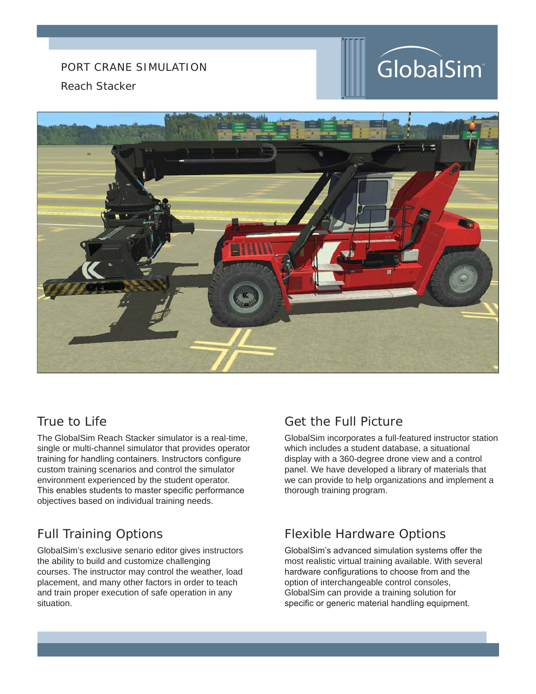Reach Stacker





The GlobalSim Reach Stacker simulator is a real-time, single or multi-channel simulator that provides operator training for handling containers. Instructors configure custom training scenarios and control the simulator environment experienced by the student operator. This enables students to master specific performance objectives based on individual training needs.

GlobalSim's exclusive senario editor gives instructors the ability to build and customize challenging courses. The instructor may control the weather, load placement, and many other factors in order to teach and train proper execution of safe operation in any situation.

## True to Life **Get the Full Picture**

GlobalSim incorporates a full-featured instructor station which includes a student database, a situational display with a 360-degree drone view and a control panel. We have developed a library of materials that we can provide to help organizations and implement a thorough training program.

# Full Training Options **Flexible Hardware Options**

GlobalSim's advanced simulation systems offer the most realistic virtual training available. With several hardware configurations to choose from and the option of interchangeable control consoles, GlobalSim can provide a training solution for specific or generic material handling equipment.